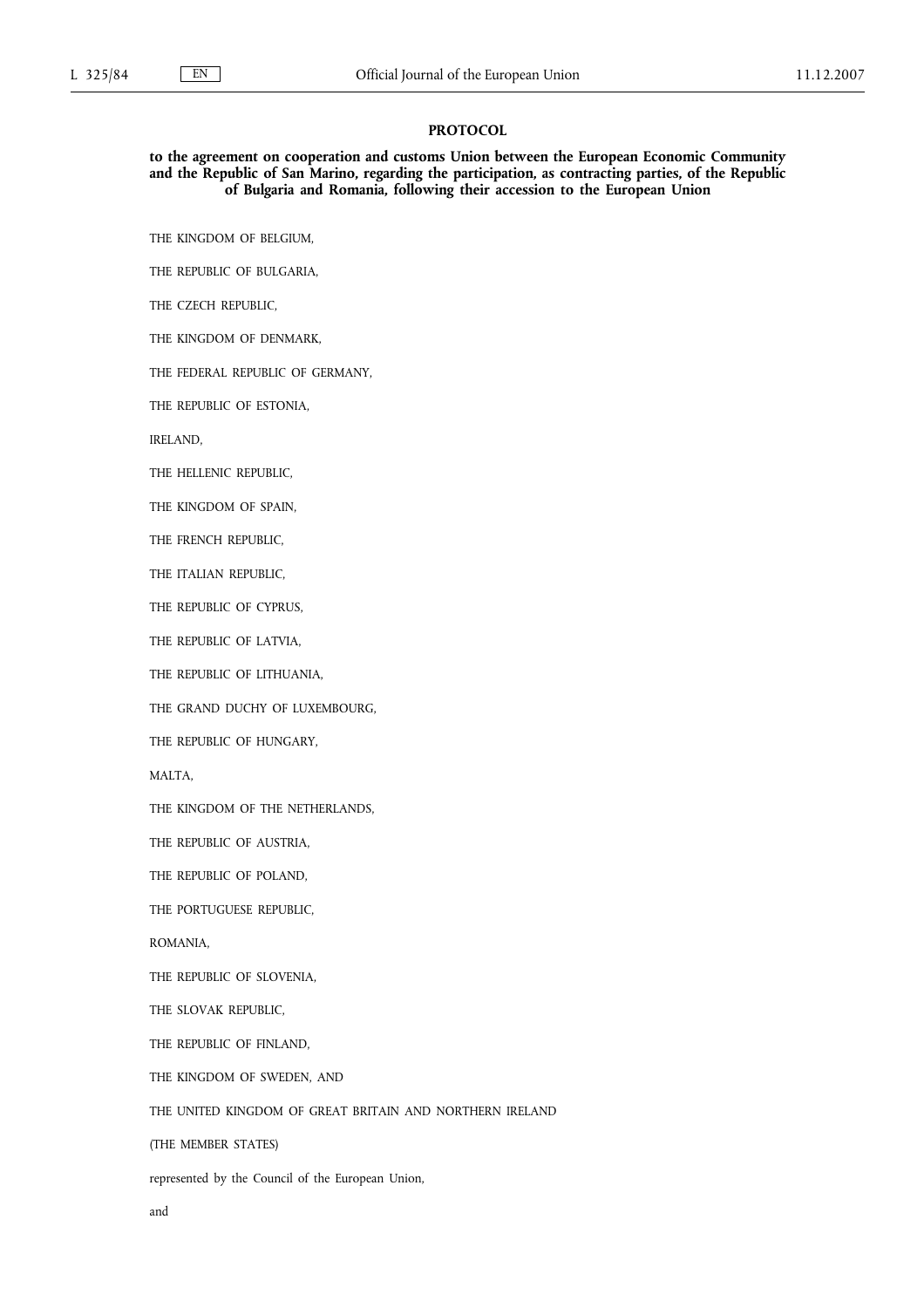## **PROTOCOL**

**to the agreement on cooperation and customs Union between the European Economic Community and the Republic of San Marino, regarding the participation, as contracting parties, of the Republic of Bulgaria and Romania, following their accession to the European Union**

THE KINGDOM OF BELGIUM,

THE REPUBLIC OF BULGARIA,

THE CZECH REPUBLIC,

THE KINGDOM OF DENMARK,

THE FEDERAL REPUBLIC OF GERMANY,

THE REPUBLIC OF ESTONIA,

IRELAND,

THE HELLENIC REPUBLIC,

THE KINGDOM OF SPAIN,

THE FRENCH REPUBLIC,

THE ITALIAN REPUBLIC,

THE REPUBLIC OF CYPRUS,

THE REPUBLIC OF LATVIA,

THE REPUBLIC OF LITHUANIA,

THE GRAND DUCHY OF LUXEMBOURG,

THE REPUBLIC OF HUNGARY,

MALTA,

THE KINGDOM OF THE NETHERLANDS,

THE REPUBLIC OF AUSTRIA,

THE REPUBLIC OF POLAND,

THE PORTUGUESE REPUBLIC,

ROMANIA,

THE REPUBLIC OF SLOVENIA,

THE SLOVAK REPUBLIC,

THE REPUBLIC OF FINLAND,

THE KINGDOM OF SWEDEN, AND

THE UNITED KINGDOM OF GREAT BRITAIN AND NORTHERN IRELAND

(THE MEMBER STATES)

represented by the Council of the European Union,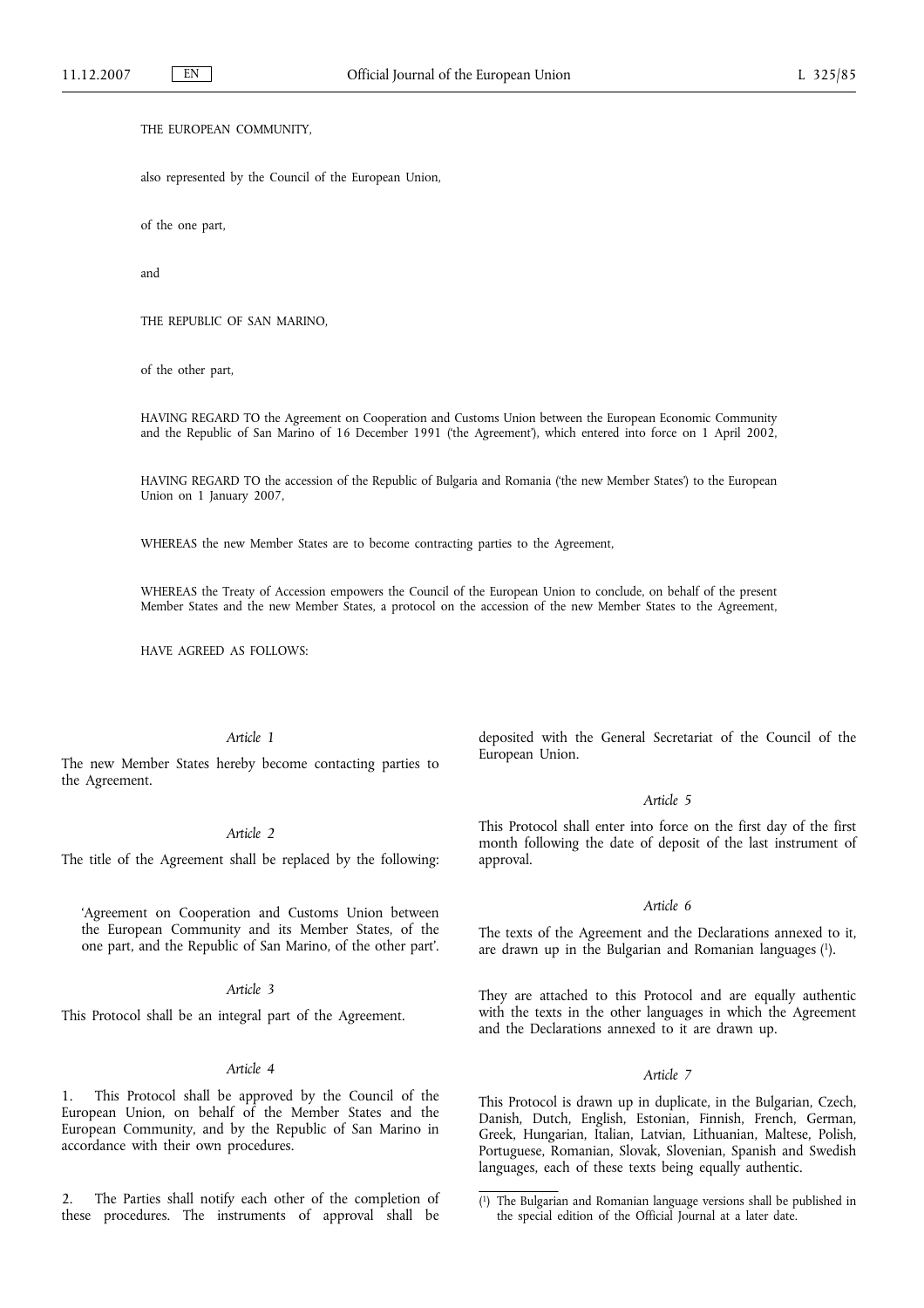## THE EUROPEAN COMMUNITY,

also represented by the Council of the European Union,

of the one part,

and

THE REPUBLIC OF SAN MARINO,

of the other part,

HAVING REGARD TO the Agreement on Cooperation and Customs Union between the European Economic Community and the Republic of San Marino of 16 December 1991 ('the Agreement'), which entered into force on 1 April 2002,

HAVING REGARD TO the accession of the Republic of Bulgaria and Romania ('the new Member States') to the European Union on 1 January 2007,

WHEREAS the new Member States are to become contracting parties to the Agreement,

WHEREAS the Treaty of Accession empowers the Council of the European Union to conclude, on behalf of the present Member States and the new Member States, a protocol on the accession of the new Member States to the Agreement,

HAVE AGREED AS FOLLOWS:

# *Article 1*

The new Member States hereby become contacting parties to the Agreement.

#### *Article 2*

The title of the Agreement shall be replaced by the following:

'Agreement on Cooperation and Customs Union between the European Community and its Member States, of the one part, and the Republic of San Marino, of the other part'.

## *Article 3*

This Protocol shall be an integral part of the Agreement.

#### *Article 4*

1. This Protocol shall be approved by the Council of the European Union, on behalf of the Member States and the European Community, and by the Republic of San Marino in accordance with their own procedures.

2. The Parties shall notify each other of the completion of these procedures. The instruments of approval shall be deposited with the General Secretariat of the Council of the European Union.

#### *Article 5*

This Protocol shall enter into force on the first day of the first month following the date of deposit of the last instrument of approval.

#### *Article 6*

The texts of the Agreement and the Declarations annexed to it, are drawn up in the Bulgarian and Romanian languages (1).

They are attached to this Protocol and are equally authentic with the texts in the other languages in which the Agreement and the Declarations annexed to it are drawn up.

## *Article 7*

This Protocol is drawn up in duplicate, in the Bulgarian, Czech, Danish, Dutch, English, Estonian, Finnish, French, German, Greek, Hungarian, Italian, Latvian, Lithuanian, Maltese, Polish, Portuguese, Romanian, Slovak, Slovenian, Spanish and Swedish languages, each of these texts being equally authentic.

<sup>(</sup> 1) The Bulgarian and Romanian language versions shall be published in the special edition of the Official Journal at a later date.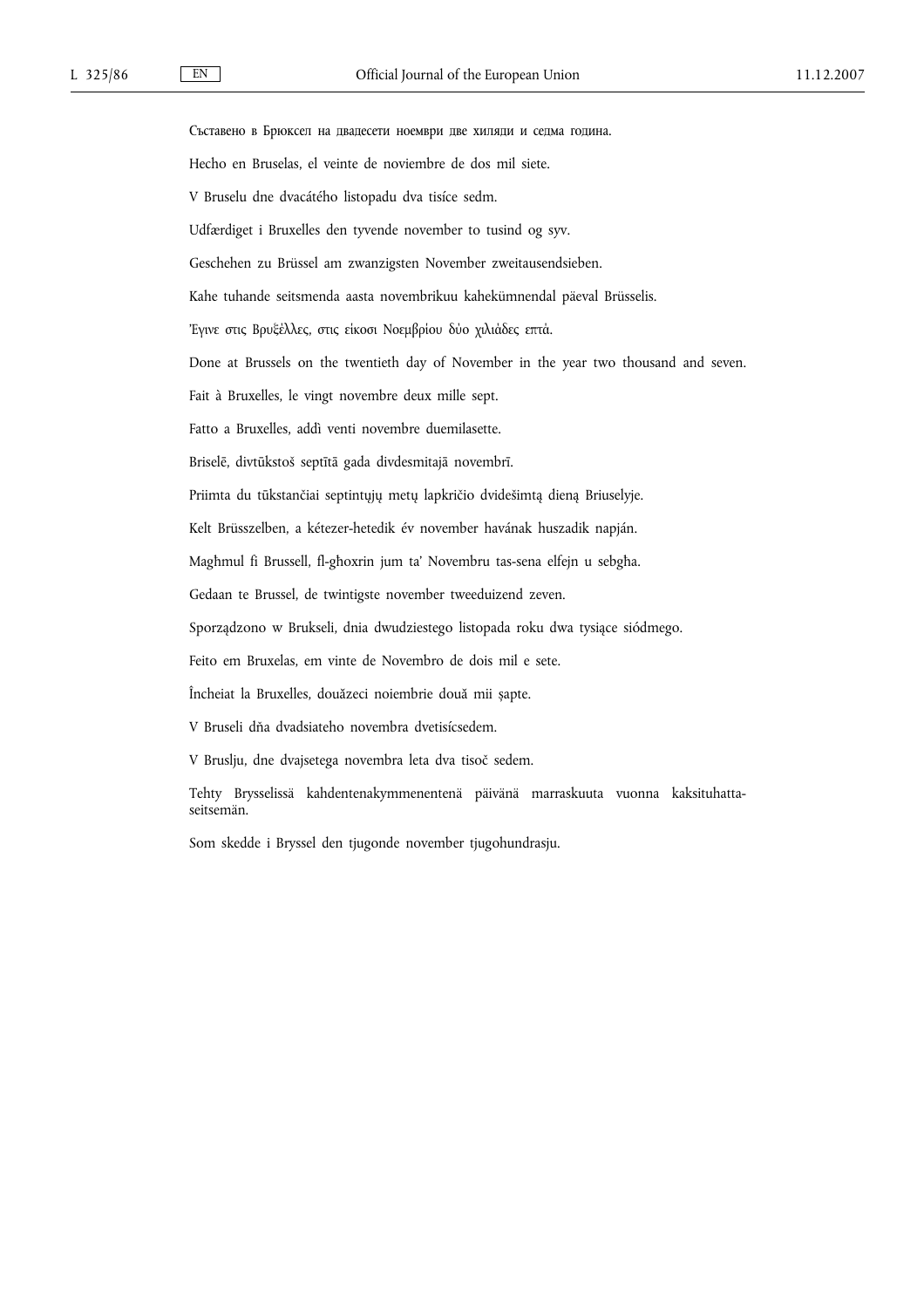Съставено в Брюксел на двадесети ноември две хиляди и седма година. Hecho en Bruselas, el veinte de noviembre de dos mil siete. V Bruselu dne dvacátého listopadu dva tisíce sedm. Udfærdiget i Bruxelles den tyvende november to tusind og syv. Geschehen zu Brüssel am zwanzigsten November zweitausendsieben. Kahe tuhande seitsmenda aasta novembrikuu kahekümnendal päeval Brüsselis. 'Εγινε στις Βρυξέλλες, στις είκοσι Νοεμβρίου δύο χιλιάδες επτά. Done at Brussels on the twentieth day of November in the year two thousand and seven. Fait à Bruxelles, le vingt novembre deux mille sept. Fatto a Bruxelles, addì venti novembre duemilasette. Briselē, divtūkstoš septītā gada divdesmitajā novembrī. Priimta du tūkstančiai septintųjų metų lapkričio dvidešimtą dieną Briuselyje. Kelt Brüsszelben, a kétezer-hetedik év november havának huszadik napján. Magħmul fi Brussell, fl-għoxrin jum ta' Novembru tas-sena elfejn u sebgħa. Gedaan te Brussel, de twintigste november tweeduizend zeven. Sporządzono w Brukseli, dnia dwudziestego listopada roku dwa tysiące siódmego. Feito em Bruxelas, em vinte de Novembro de dois mil e sete. Încheiat la Bruxelles, douăzeci noiembrie două mii șapte. V Bruseli dňa dvadsiateho novembra dvetisícsedem.

V Bruslju, dne dvajsetega novembra leta dva tisoč sedem.

Tehty Brysselissä kahdentenakymmenentenä päivänä marraskuuta vuonna kaksituhattaseitsemän.

Som skedde i Bryssel den tjugonde november tjugohundrasju.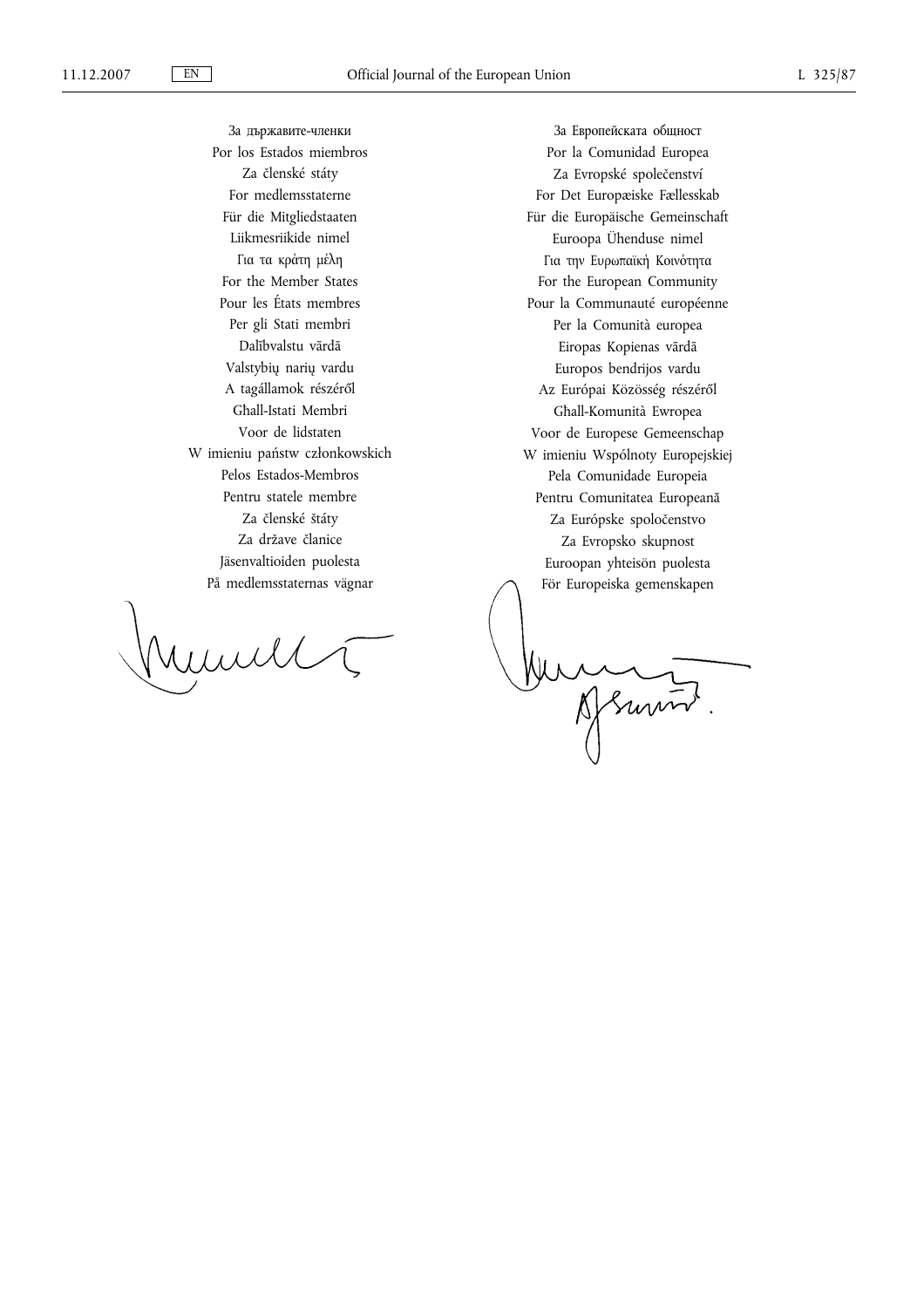За държавите-членки Por los Estados miembros Za členské státy For medlemsstaterne Für die Mitgliedstaaten Liikmesriikide nimel Για τα κράτη μέλη For the Member States Pour les États membres Per gli Stati membri Dalībvalstu vārdā Valstybių narių vardu A tagállamok részéről Għall-Istati Membri Voor de lidstaten W imieniu państw członkowskich Pelos Estados-Membros Pentru statele membre Za členské štáty Za države članice Jäsenvaltioiden puolesta På medlemsstaternas vägnar

rund

За Европейската общност Por la Comunidad Europea Za Evropské společenství For Det Europæiske Fællesskab Für die Europäische Gemeinschaft Euroopa Ühenduse nimel Για την Ευρωπαϊκή Κοινότητα For the European Community Pour la Communauté européenne Per la Comunità europea Eiropas Kopienas vārdā Europos bendrijos vardu Az Európai Közösség részéről Għall-Komunità Ewropea Voor de Europese Gemeenschap W imieniu Wspólnoty Europejskiej Pela Comunidade Europeia Pentru Comunitatea Europeană Za Európske spoločenstvo Za Evropsko skupnost Euroopan yhteisön puolesta För Europeiska gemenskapen

Murray